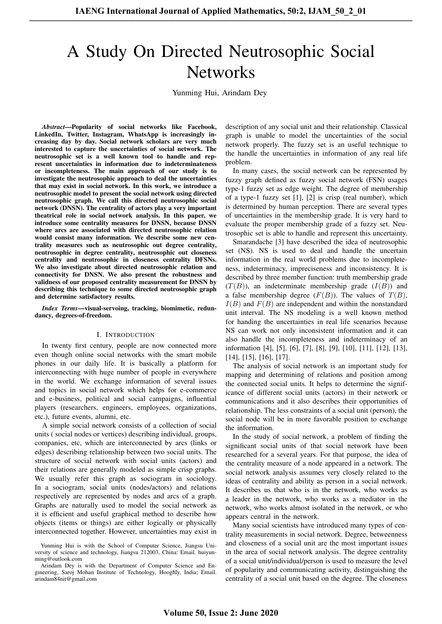# A Study On Directed Neutrosophic Social **Networks**

Yunming Hui, Arindam Dey

*Abstract*—Popularity of social networks like Facebook, LinkedIn, Twitter, Instagram, WhatsApp is increasingly increasing day by day. Social network scholars are very much interested to capture the uncertainties of social network. The neutrosophic set is a well known tool to handle and represent uncertainties in information due to indeterminateness or incompleteness. The main approach of our study is to investigate the neutrosophic approach to deal the uncertainties that may exist in social network. In this work, we introduce a neutrosophic model to present the social network using directed neutrosophic graph. We call this directed neutrosophic social network (DNSN). The centrality of actors play a very important theatrical role in social network analysis. In this paper, we introduce some centrality measures for DNSN, because DNSN where arcs are associated with directed neutrosophic relation would consist many information. We describe some new centrality measures such as neutrosophic out degree centrality, neutrosophic in degree centrality, neutrosophic out closeness centrality and neutrosophic in closeness centrality DFSNs. We also investigate about directed neutrosophic relation and connectivity for DNSN. We also present the robustness and validness of our proposed centrality measurement for DNSN by describing this technique to some directed neutrosophic graph and determine satisfactory results.

*Index Terms*—visual-servoing, tracking, biomimetic, redundancy, degrees-of-freedom.

#### I. INTRODUCTION

In twenty first century, people are now connected more even though online social networks with the smart mobile phones in our daily life. It is basically a platform for interconnecting with huge number of people in everywhere in the world. We exchange information of several issues and topics in social network which helps for e-commerce and e-business, political and social campaigns, influential players (researchers, engineers, employees, organizations, etc.), future events, alumni, etc.

A simple social network consists of a collection of social units ( social nodes or vertices) describing individual, groups, companies, etc, which are interconnected by arcs (links or edges) describing relationship between two social units. The structure of social network with social units (actors) and their relations are generally modeled as simple crisp graphs. We usually refer this graph as sociogram in sociology. In a sociogram, social units (nodes/actors) and relations respectively are represented by nodes and arcs of a graph. Graphs are naturally used to model the social network as it is efficient and useful graphical method to describe how objects (items or things) are either logically or physically interconnected together. However, uncertainties may exist in

description of any social unit and their relationship. Classical graph is unable to model the uncertainties of the social network properly. The fuzzy set is an useful technique to the handle the uncertainties in information of any real life problem.

In many cases, the social network can be represented by fuzzy graph defined as fuzzy social network (FSN) usages type-1 fuzzy set as edge weight. The degree of membership of a type-1 fuzzy set [1], [2] is crisp (real number), which is determined by human perception. There are several types of uncertainties in the membership grade. It is very hard to evaluate the proper membership grade of a fuzzy set. Neutrosophic set is able to handle and represent this uncertainty.

Smarandache [3] have described the idea of neutrosophic set (NS). NS is used to deal and handle the uncertain information in the real world problems due to incompleteness, indeterminacy, impreciseness and inconsistency. It is described by three member function: truth membership grade  $(T(B))$ , an indeterminate membership grade  $(I(B))$  and a false membership degree  $(F(B))$ . The values of  $T(B)$ ,  $I(B)$  and  $F(B)$  are independent and within the nonstandard unit interval. The NS modeling is a well known method for handing the uncertainties in real life scenarios because NS can work not only inconsistent information and it can also handle the incompleteness and indeterminacy of an information [4], [5], [6], [7], [8], [9], [10], [11], [12], [13], [14], [15], [16], [17].

The analysis of social network is an important study for mapping and determining of relations and position among the connected social units. It helps to determine the significance of different social units (actors) in their network or communications and it also describes their opportunities of relationship. The less constraints of a social unit (person), the social node will be in more favorable position to exchange the information.

In the study of social network, a problem of finding the significant social units of that social network have been researched for a several years. For that purpose, the idea of the centrality measure of a node appeared in a network. The social network analysis assumes very closely related to the ideas of centrality and ability as person in a social network. It describes us that who is in the network, who works as a leader in the network, who works as a mediator in the network, who works almost isolated in the network, or who appears central in the network.

Many social scientists have introduced many types of centrality measurements in social network. Degree, betweenness and closeness of a social unit are the most important issues in the area of social network analysis. The degree centrality of a social unit/individual/person is used to measure the level of popularity and communicating activity, distinguishing the centrality of a social unit based on the degree. The closeness

Yunming Hui is with the School of Computer Science, Jiangsu University of science and technology, Jiangsu 212003, China: Email. huiyunming@outlook.com

Arindam Dey is with the Department of Computer Science and Engineering, Saroj Mohan Institute of Technology, Hooghly, India; Email. arindam84nit@gmail.com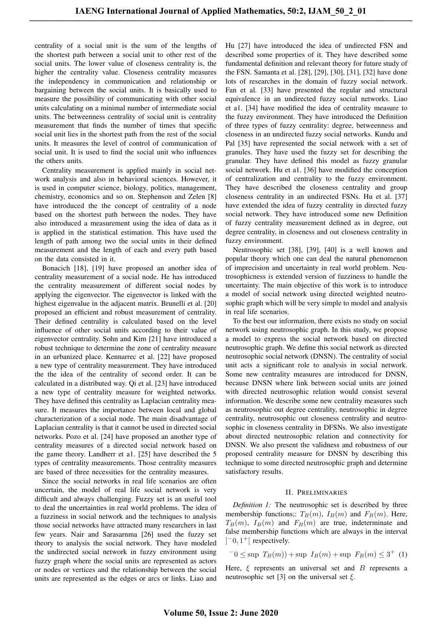centrality of a social unit is the sum of the lengths of the shortest path between a social unit to other rest of the social units. The lower value of closeness centrality is, the higher the centrality value. Closeness centrality measures the independency in communication and relationship or bargaining between the social units. It is basically used to measure the possibility of communicating with other social units calculating on a minimal number of intermediate social units. The betweenness centrality of social unit is centrality measurement that finds the number of times that specific social unit lies in the shortest path from the rest of the social units. It measures the level of control of communication of social unit. It is used to find the social unit who influences the others units.

Centrality measurement is applied mainly in social network analysis and also in behavioral sciences. However, it is used in computer science, biology, politics, management, chemistry, economics and so on. Stephenson and Zelen [8] have introduced the the concept of centrality of a node based on the shortest path between the nodes. They have also introduced a measurement using the idea of data as it is applied in the statistical estimation. This have used the length of path among two the social units in their defined measurement and the length of each and every path based on the data consisted in it.

Bonacich [18], [19] have proposed an another idea of centrality measurement of a social node. He has introduced the centrality measurement of different social nodes by applying the eigenvector. The eigenvector is linked with the highest eigenvalue in the adjacent matrix. Brunelli et al. [20] proposed an efficient and robust measurement of centrality. Their defined centrality is calculated based on the level influence of other social units according to their value of eigenvector centrality. Sohn and Kim [21] have introduced a robust technique to determine the zone of centrality measure in an urbanized place. Kennarrec et al. [22] have proposed a new type of centrality measurement. They have introduced the the idea of the centrality of second order. It can be calculated in a distributed way. Qi et al. [23] have introduced a new type of centrality measure for weighted networks. They have defined this centrality as Laplacian centrality measure. It measures the importance between local and global characterization of a social node. The main disadvantage of Laplacian centrality is that it cannot be used in directed social networks. Pozo et al. [24] have proposed an another type of centrality measures of a directed social network based on the game theory. Landherr et a1. [25] have described the 5 types of centrality measurements. Those centrality measures are based of three necessities for the centrality measures.

Since the social networks in real life scenarios are often uncertain, the model of real life social network is very difficult and always challenging. Fuzzy set is an useful tool to deal the uncertainties in real world problems. The idea of a fuzziness in social network and the techniques to analysis those social networks have attracted many researchers in last few years. Nair and Sarasarnma [26] used the fuzzy set theory to analysis the social network. They have modeled the undirected social network in fuzzy environment using fuzzy graph where the social units are represented as actors or nodes or vertices and the relationship between the social units are represented as the edges or arcs or links. Liao and

Hu [27] have introduced the idea of undirected FSN and described some properties of it. They have described some fundamental definition and relevant theory for future study of the FSN. Samanta et al. [28], [29], [30], [31], [32] have done lots of researches in the domain of fuzzy social network. Fan et al. [33] have presented the regular and structural equivalence in an undirected fuzzy social networks. Liao et a1. [34] have modified the idea of centrality measure to the fuzzy environment. They have introduced the Definition of three types of fuzzy centrality: degree, betweenness and closeness in an undirected fuzzy social networks. Kundu and Pal [35] have represented the social network with a set of granules. They have used the fuzzy set for describing the granular. They have defined this model as fuzzy granular social network. Hu et a1. [36] have modified the conception of centralization and centrality to the fuzzy environment. They have described the closeness centrality and group closeness centrality in an undirected FSNs. Hu et al. [37] have extended the idea of fuzzy centrality in directed fuzzy social network. They have introduced some new Definition of fuzzy centrality measurement defined as in degree, out degree centrality, in closeness and out closeness centrality in fuzzy environment.

Neutrosophic set [38], [39], [40] is a well known and popular theory which one can deal the natural phenomenon of imprecision and uncertainty in real world problem. Neutrosophicness is extended version of fuzziness to handle the uncertainty. The main objective of this work is to introduce a model of social network using directed weighted neutrosophic graph which will be very simple to model and analysis in real life scenarios.

To the best our information, there exists no study on social network using neutrosophic graph. In this study, we propose a model to express the social network based on directed neutrosophic graph. We define this social network as directed neutrosophic social network (DNSN). The centrality of social unit acts a significant role to analysis in social network. Some new centrality measures are introduced for DNSN, because DNSN where link between social units are joined with directed neutrosophic relation would consist several information. We describe some new centrality measures such as neutrosophic out degree centrality, neutrosophic in degree centrality, neutrosophic out closeness centrality and neutrosophic in closeness centrality in DFSNs. We also investigate about directed neutrosophic relation and connectivity for DNSN. We also present the validness and robustness of our proposed centrality measure for DNSN by describing this technique to some directed neutrosophic graph and determine satisfactory results.

### II. PRELIMINARIES

*Definition 1:* The neutrosophic set is described by three membership functions;:  $T_B(m)$ ,  $I_B(m)$  and  $F_B(m)$ . Here,  $T_B(m)$ ,  $I_B(m)$  and  $F_B(m)$  are true, indeterminate and false membership functions which are always in the interval  $]$ <sup>-</sup>0, 1<sup>+</sup>[ respectively.

 $-0 \leq \sup T_B(m)) + \sup I_B(m) + \sup F_B(m) \leq 3^+$  (1)

Here,  $\xi$  represents an universal set and B represents a neutrosophic set [3] on the universal set  $\xi$ .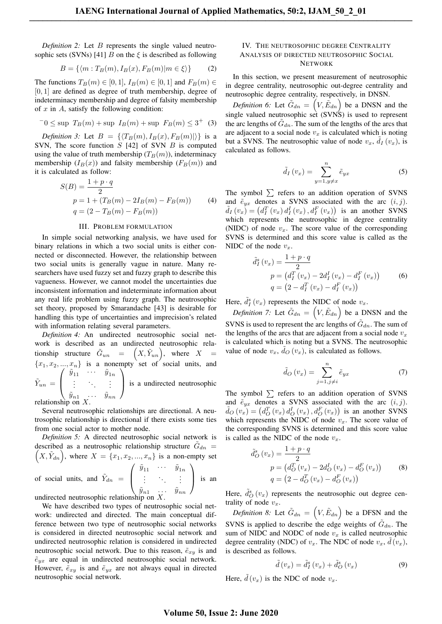*Definition 2:* Let B represents the single valued neutrosophic sets (SVNs) [41] B on the  $\xi$  is described as following

$$
B = \{ \langle m : T_B(m), I_B(x), F_B(m) | m \in \xi \rangle \}
$$
 (2)

The functions  $T_B(m) \in [0, 1], I_B(m) \in [0, 1]$  and  $F_B(m) \in$  $[0, 1]$  are defined as degree of truth membership, degree of indeterminacy membership and degree of falsity membership of  $x$  in  $A$ , satisfy the following condition:

$$
-0 \le \sup T_B(m) + \sup I_B(m) + \sup F_B(m) \le 3^+ (3)
$$

*Definition 3:* Let  $B = \{\langle T_B(m), I_B(x), F_B(m)|\rangle\}$  is a SVN, The score function  $S$  [42] of SVN  $B$  is computed using the value of truth membership  $(T_B(m))$ , indeterminacy membership  $(I_B(x))$  and falsity membership  $(F_B(m))$  and it is calculated as follow:

$$
S(B) = \frac{1+p\cdot q}{2}
$$
  
\n
$$
p = 1 + (T_B(m) - 2I_B(m) - F_B(m))
$$
 (4)  
\n
$$
q = (2 - T_B(m) - F_B(m))
$$

#### III. PROBLEM FORMULATION

In simple social networking analysis, we have used for binary relations in which a two social units is either connected or disconnected. However, the relationship between two social units is generally vague in nature. Many researchers have used fuzzy set and fuzzy graph to describe this vagueness. However, we cannot model the uncertainties due inconsistent information and indeterminate information about any real life problem using fuzzy graph. The neutrosophic set theory, proposed by Smarandache [43] is desirable for handling this type of uncertainties and imprecision's related with information relating several parameters.

*Definition 4:* An undirected neutrosophic social network is described as an undirected neutrosophic relationship structure  $\tilde{G}_{un} = (X, \tilde{Y}_{un}),$  where  $X =$  ${x_1, x_2, ..., x_n}$  is a nonempty set of social units, and  $\tilde{Y}_{un} =$  $\sqrt{ }$  $\overline{ }$  $\tilde{y}_{11}$   $\cdots$   $\tilde{y}_{1n}$ .<br>.<br>.  $\tilde{y}_{n1} \quad \cdots \quad \tilde{y}_{nn}$  $\setminus$ is a undirected neutrosophic

relationship on  $X$ .

Several neutrosophic relationships are directional. A neutrosophic relationship is directional if there exists some ties from one social actor to mother node.

*Definition 5:* A directed neutrosophic social network is described as a neutrosophic relationship structure  $\tilde{G}_{dn}$  =  $(X, \tilde{Y}_{dn})$ , where  $X = \{x_1, x_2, ..., x_n\}$  is a non-empty set of social units, and  $\tilde{Y}_{dn}$  =  $\sqrt{ }$  $\overline{ }$  $\tilde{y}_{11}$   $\cdots$   $\tilde{y}_{1n}$ .<br>.<br>.  $\tilde{y}_{n1}$  ...  $\tilde{y}_{nn}$  $\setminus$ is an

undirected neutrosophic relationship on  $X$ .

We have described two types of neutrosophic social network: undirected and directed. The main conceptual difference between two type of neutrosophic social networks is considered in directed neutrosophic social network and undirected neutrosophic relation is considered in undirected neutrosophic social network. Due to this reason,  $\tilde{e}_{x,y}$  is and  $\tilde{e}_{yx}$  are equal in undirected neutrosophic social network. However,  $\tilde{e}_{xy}$  is and  $\tilde{e}_{yx}$  are not always equal in directed neutrosophic social network.

## IV. THE NEUTROSOPHIC DEGREE CENTRALITY ANALYSIS OF DIRECTED NEUTROSOPHIC SOCIAL NETWORK

In this section, we present measurement of neutrosophic in degree centrality, neutrosophic out-degree centrality and neutrosophic degree centrality, respectively, in DNSN.

*Definition 6:* Let  $\tilde{G}_{dn} = (V, \tilde{E}_{dn})$  be a DNSN and the single valued neutrosophic set (SVNS) is used to represent the arc lengths of  $\tilde{G}_{dn}$ . The sum of the lengths of the arcs that are adjacent to a social node  $v_x$  is calculated which is noting but a SVNS. The neutrosophic value of node  $v_x$ ,  $\tilde{d}_I(v_x)$ , is calculated as follows.

$$
\tilde{d}_I\left(v_x\right) = \sum_{y=1, y \neq x}^{n} \tilde{e}_{yx} \tag{5}
$$

The symbol  $\sum$  refers to an addition operation of SVNS and  $\tilde{e}_{yx}$  denotes a SVNS associated with the arc  $(i, j)$ .  $\tilde{d}_I(v_x) = (d_I^T(v_x) d_I^I(v_x), d_I^F(v_x))$  is an another SVNS which represents the neutrosophic in degree centrality (NIDC) of node  $v_x$ . The score value of the corresponding SVNS is determined and this score value is called as the NIDC of the node  $v_x$ .

$$
\tilde{d}_{I}^{s}(v_{x}) = \frac{1+p\cdot q}{2}
$$
\n
$$
p = (d_{I}^{T}(v_{x}) - 2d_{I}^{I}(v_{x}) - d_{I}^{F}(v_{x}))
$$
\n
$$
q = (2 - d_{I}^{T}(v_{x}) - d_{I}^{F}(v_{x}))
$$
\n(6)

Here,  $\tilde{d}_I^s(v_x)$  represents the NIDC of node  $v_x$ .

*Definition 7:* Let  $\tilde{G}_{dn} = (V, \tilde{E}_{dn})$  be a DNSN and the SVNS is used to represent the arc lengths of  $\tilde{G}_{dn}$ . The sum of the lengths of the arcs that are adjacent from a social node  $v_x$ is calculated which is noting but a SVNS. The neutrosophic value of node  $v_x$ ,  $\tilde{d}_O(v_x)$ , is calculated as follows.

$$
\tilde{d}_O(v_x) = \sum_{j=1, j \neq i}^{n} \tilde{e}_{yx}
$$
 (7)

The symbol  $\sum$  refers to an addition operation of SVNS and  $\tilde{e}_{yx}$  denotes a SVNS associated with the arc  $(i, j)$ .  $\tilde{d}_O(v_x) = (d_O^T(v_x) d_O^I(v_x), d_O^F(v_x))$  is an another SVNS which represents the NIDC of node  $v_x$ . The score value of the corresponding SVNS is determined and this score value is called as the NIDC of the node  $v_x$ .

$$
\tilde{d}_{O}^{s}(v_{x}) = \frac{1+p\cdot q}{2}
$$
\n
$$
p = (d_{O}^{T}(v_{x}) - 2d_{O}^{T}(v_{x}) - d_{O}^{F}(v_{x}))
$$
\n
$$
q = (2 - d_{O}^{T}(v_{x}) - d_{O}^{F}(v_{x}))
$$
\n(8)

Here,  $\tilde{d}_{O}^{s}(v_{x})$  represents the neutrosophic out degree centrality of node  $v_x$ .

*Definition 8:* Let  $\tilde{G}_{dn} = (V, \tilde{E}_{dn})$  be a DFSN and the SVNS is applied to describe the edge weights of  $\tilde{G}_{dn}$ . The sum of NIDC and NODC of node  $v_x$  is called neutrosophic degree centrality (NDC) of  $v_x$ . The NDC of node  $v_x$ ,  $\tilde{d}(v_x)$ , is described as follows.

$$
\tilde{d}(v_x) = \tilde{d}_I^s(v_x) + \tilde{d}_O^s(v_x)
$$
\n(9)

Here,  $\tilde{d}(v_x)$  is the NDC of node  $v_x$ .

## **Volume 50, Issue 2: June 2020**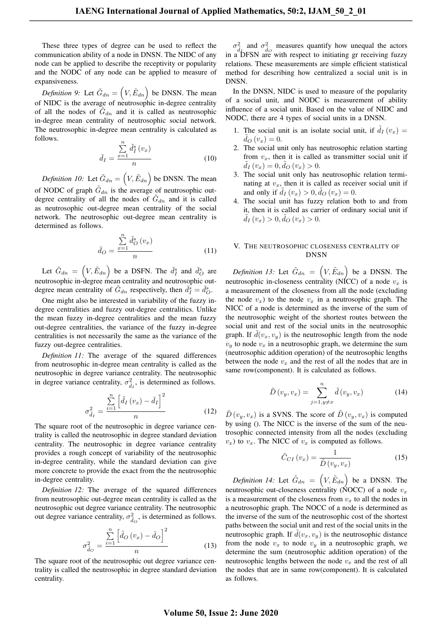These three types of degree can be used to reflect the communication ability of a node in DNSN. The NIDC of any node can be applied to describe the receptivity or popularity and the NODC of any node can be applied to measure of expansiveness.

*Definition 9:* Let  $\tilde{G}_{dn} = (V, \tilde{E}_{dn})$  be DNSN. The mean of NIDC is the average of neutrosophic in-degree centrality of all the nodes of  $\tilde{G}_{dn}$  and it is called as neutrosophic in-degree mean centrality of neutrosophic social network. The neutrosophic in-degree mean centrality is calculated as follows.

$$
\bar{d}_I = \frac{\sum_{x=1}^n \tilde{d}_I^s(v_x)}{n} \tag{10}
$$

*Definition 10:* Let  $\tilde{G}_{dn} = (V, \tilde{E}_{dn})$  be DNSN. The mean of NODC of graph  $\tilde{G}_{dn}$  is the average of neutrosophic outdegree centrality of all the nodes of  $\tilde{G}_{dn}$  and it is called as neutrosophic out-degree mean centrality of the social network. The neutrosophic out-degree mean centrality is determined as follows.

$$
\bar{d}_O = \frac{\sum_{x=1}^n \tilde{d}_O^s(v_x)}{n} \tag{11}
$$

Let  $\tilde{G}_{dn} = \left(V, \tilde{E}_{dn}\right)$  be a DSFN. The  $\bar{d}_{I}^{s}$  and  $\bar{d}_{O}^{s}$  are neutrosophic in-degree mean centrality and neutrosophic outdegree mean centrality of  $\tilde{G}_{dn}$  respectively, then  $\bar{d}_I^s = \bar{d}_O^s$ .

One might also be interested in variability of the fuzzy indegree centralities and fuzzy out-degree centralitics. Unlike the mean fuzzy in-degree centralities and the mean fuzzy out-degree centralities, the variance of the fuzzy in-degree centralities is not necessarily the same as the variance of the fuzzy out-degree centralities.

*Definition 11:* The average of the squared differences from neutrosophic in-degree mean centrality is called as the neutrosophic in degree variance centrality. The neutrosophic in degree variance centrality,  $\sigma_{\tilde{d}_I}^2$ , is determined as follows.

$$
\sigma_{\tilde{d}_I}^2 = \frac{\sum\limits_{i=1}^n \left[ \tilde{d}_I \left( v_x \right) - \bar{d}_I \right]^2}{n} \tag{12}
$$

The square root of the neutrosophic in degree variance centrality is called the neutrosophic in degree standard deviation centrality. The neutrosophic in degree variance centrality provides a rough concept of variability of the neutrosophic in-degree centrality, while the standard deviation can give more concrete to provide the exact from the the neutrosophic in-degree centrality.

*Definition 12:* The average of the squared differences from neutrosophic out-degree mean centrality is called as the neutrosophic out degree variance centrality. The neutrosophic out degree variance centrality,  $\sigma_{\vec{d}_O}^2$ , is determined as follows.

$$
\sigma_{\tilde{d}_O}^2 = \frac{\sum\limits_{i=1}^n \left[ \tilde{d}_O\left(v_x\right) - \bar{d}_O \right]^2}{n} \tag{13}
$$

The square root of the neutrosophic out degree variance centrality is called the neutrosophic in degree standard deviation centrality.

 $\sigma_{\tilde{d}_D}^2$  and  $\sigma_{\tilde{d}_O}^2$  measures quantify how unequal the actors in a DFSN are with respect to initiating gr receiving fuzzy relations. These measurements are simple efficient statistical method for describing how centralized a social unit is in DNSN.

In the DNSN, NIDC is used to measure of the popularity of a social unit, and NODC is measurement of ability influence of a social unit. Based on the value of NIDC and NODC, there are 4 types of social units in a DNSN.

- 1. The social unit is an isolate social unit, if  $\tilde{d}_I(v_x) =$  $d_{O}(v_{x}) = 0.$
- 2. The social unit only has neutrosophic relation starting from  $v_x$ , then it is called as transmitter social unit if  $\tilde{d}_I(v_x) = 0, \tilde{d}_O(v_x) > 0.$
- 3. The social unit only has neutrosophic relation terminating at  $v_x$ , then it is called as receiver social unit if and only if  $\tilde{d}_I(v_x) > 0, \tilde{d}_O(v_x) = 0.$
- 4. The social unit has fuzzy relation both to and from it, then it is called as carrier of ordinary social unit if  $\tilde{d}_I(v_x) > 0, \tilde{d}_O(v_x) > 0.$

# V. THE NEUTROSOPHIC CLOSENESS CENTRALITY OF DNSN

*Definition 13:* Let  $\tilde{G}_{dn} = (V, \tilde{E}_{dn})$  be a DNSN. The neutrosophic in-closeness centrality (NICC) of a node  $v_x$  is a measurement of the closeness from all the node (excluding the node  $v_x$ ) to the node  $v_x$  in a neutrosophic graph. The NICC of a node is determined as the inverse of the sum of the neutrosophic weight of the shortest routes between the social unit and rest of the social units in the neutrosophic graph. If  $d(v_x, v_y)$  is the neutrosophic length from the node  $v_y$  to node  $v_x$  in a neutrosophic graph, we determine the sum (neutrosophic addition operation) of the neutrosophic lengths between the node  $v_x$  and the rest of all the nodes that are in same row(component). It is calculated as follows.

$$
\tilde{D}(v_y, v_x) = \sum_{j=1, y \neq x}^{n} \tilde{d}(v_y, v_x)
$$
\n(14)

 $\tilde{D}(v_y, v_x)$  is a SVNS. The score of  $\tilde{D}(v_y, v_x)$  is computed by using (). The NICC is the inverse of the sum of the neutrosophic connected intensity from all the nodes (excluding  $v_x$ ) to  $v_x$ . The NICC of  $v_x$  is computed as follows.

$$
\tilde{C}_{CI}\left(v_x\right) = \frac{1}{\tilde{D}\left(v_y, v_x\right)}\tag{15}
$$

*Definition 14:* Let  $\tilde{G}_{dn} = (V, \tilde{E}_{dn})$  be a DNSN. The neutrosophic out-closeness centrality (NOCC) of a node  $v_x$ is a measurement of the closeness from  $v<sub>x</sub>$  to all the nodes in a neutrosophic graph. The NOCC of a node is determined as the inverse of the sum of the neutrosophic cost of the shortest paths between the social unit and rest of the social units in the neutrosophic graph. If  $d(v_x, v_y)$  is the neutrosophic distance from the node  $v_x$  to node  $v_y$  in a neutrosophic graph, we determine the sum (neutrosophic addition operation) of the neutrosophic lengths between the node  $v_x$  and the rest of all the nodes that are in same row(component). It is calculated as follows.

## **Volume 50, Issue 2: June 2020**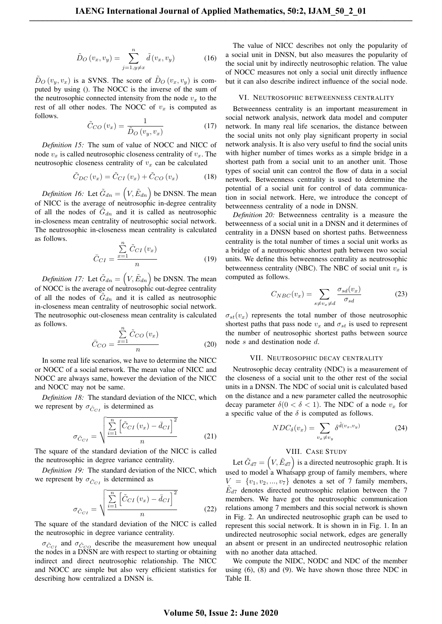$$
\tilde{D}_O(v_x, v_y) = \sum_{j=1, y \neq x}^{n} \tilde{d}(v_x, v_y)
$$
\n(16)

 $\tilde{D}_O(v_y, v_x)$  is a SVNS. The score of  $\tilde{D}_O(v_x, v_y)$  is computed by using (). The NOCC is the inverse of the sum of the neutrosophic connected intensity from the node  $v_x$  to the rest of all other nodes. The NOCC of  $v_x$  is computed as follows.

$$
\tilde{C}_{CO}(v_x) = \frac{1}{\tilde{D}_O(v_y, v_x)}\tag{17}
$$

*Definition 15:* The sum of value of NOCC and NICC of node  $v_x$  is called neutrosophic closeness centrality of  $v_x$ . The neutrosophic closeness centrality of  $v_x$  can be calculated

$$
\tilde{C}_{DC}\left(v_x\right) = \tilde{C}_{CI}\left(v_x\right) + \tilde{C}_{CO}\left(v_x\right) \tag{18}
$$

*Definition 16:* Let  $\tilde{G}_{dn} = (V, \tilde{E}_{dn})$  be DNSN. The mean of NICC is the average of neutrosophic in-degree centrality of all the nodes of  $\tilde{G}_{dn}$  and it is called as neutrosophic in-closeness mean centrality of neutrosophic social network. The neutrosophic in-closeness mean centrality is calculated as follows.

$$
\bar{C}_{CI} = \frac{\sum_{x=1}^{n} \tilde{C}_{CI}(v_x)}{n} \tag{19}
$$

*Definition 17:* Let  $\tilde{G}_{dn} = (V, \tilde{E}_{dn})$  be DNSN. The mean of NOCC is the average of neutrosophic out-degree centrality of all the nodes of  $\tilde{G}_{dn}$  and it is called as neutrosophic in-closeness mean centrality of neutrosophic social network. The neutrosophic out-closeness mean centrality is calculated as follows. Pn

$$
\bar{C}_{CO} = \frac{\sum_{x=1}^{N} \tilde{C}_{CO} (v_x)}{n}
$$
\n(20)

In some real life scenarios, we have to determine the NICC or NOCC of a social network. The mean value of NICC and NOCC are always same, however the deviation of the NICC and NOCC may not be same.

*Definition 18:* The standard deviation of the NICC, which we represent by  $\sigma_{\tilde{C}_{CI}}$  is determined as

$$
\sigma_{\tilde{C}_{CI}} = \sqrt{\frac{\sum_{i=1}^{n} \left[ \tilde{C}_{CI} \left( v_x \right) - \bar{d}_{CI} \right]^2}{n}}
$$
(21)

The square of the standard deviation of the NICC is called the neutrosophic in degree variance centrality.

*Definition 19:* The standard deviation of the NICC, which we represent by  $\sigma_{\tilde{C}_{CI}}$  is determined as

$$
\sigma_{\tilde{C}_{CI}} = \sqrt{\frac{\sum_{i=1}^{n} \left[ \tilde{C}_{CI} \left( v_x \right) - \bar{d}_{CI} \right]^2}{n}}
$$
\n(22)

The square of the standard deviation of the NICC is called the neutrosophic in degree variance centrality.

 $\sigma_{\tilde{C}_{CI}}$  and  $\sigma_{\tilde{C}_{CO}}$  describe the measurement how unequal the nodes in a DNSN are with respect to starting or obtaining indirect and direct neutrosophic relationship. The NICC and NOCC are simple but also very efficient statistics for describing how centralized a DNSN is.

The value of NICC describes not only the popularity of a social unit in DNSN, but also measures the popularity of the social unit by indirectly neutrosophic relation. The value of NOCC measures not only a social unit directly influence but it can also describe indirect influence of the social node.

#### VI. NEUTROSOPHIC BETWEENNESS CENTRALITY

Betweenness centrality is an important measurement in social network analysis, network data model and computer network. In many real life scenarios, the distance between the social units not only play significant property in social network analysis. It is also very useful to find the social units with higher number of times works as a simple bridge in a shortest path from a social unit to an another unit. Those types of social unit can control the flow of data in a social network. Betweenness centrality is used to determine the potential of a social unit for control of data communication in social network. Here, we introduce the concept of betweenness centrality of a node in DNSN.

*Definition 20:* Betweenness centrality is a measure the betweenness of a social unit in a DNSN and it determines of centrality in a DNSN based on shortest paths. Betweenness centrality is the total number of times a social unit works as a bridge of a neutrosophic shortest path between two social units. We define this betweenness centrality as neutrosophic betweenness centrality (NBC). The NBC of social unit  $v_x$  is computed as follows.

$$
C_{NBC}(v_x) = \sum_{s \neq v_x \neq d} \frac{\sigma_{sd}(v_x)}{\sigma_{sd}} \tag{23}
$$

 $\sigma_{st}(v_x)$  represents the total number of those neutrosophic shortest paths that pass node  $v_x$  and  $\sigma_{st}$  is used to represent the number of neutrosophic shortest paths between source node s and destination node d.

#### VII. NEUTROSOPHIC DECAY CENTRALITY

Neutrosophic decay centrality (NDC) is a measurement of the closeness of a social unit to the other rest of the social units in a DNSN. The NDC of social unit is calculated based on the distance and a new parameter called the neutrosophic decay parameter  $\delta(0 < \delta < 1)$ . The NDC of a node  $v_x$  for a specific value of the  $\delta$  is computed as follows.

$$
NDC_{\delta}(v_x) = \sum_{v_x \neq v_y} \delta^{\tilde{d}(v_x, v_y)} \tag{24}
$$

# VIII. CASE STUDY

Let  $\tilde{G}_{d7} = (V, \tilde{E}_{d7})$  is a directed neutrosophic graph. It is used to model a Whatsapp group of family members, where  $V = \{v_1, v_2, ..., v_7\}$  denotes a set of 7 family members,  $\tilde{E}_{d7}$  denotes directed neutrosophic relation between the 7 members. We have got the neutrosophic communication relations among 7 members and this social network is shown in Fig. 2. An undirected neutrosophic graph can be used to represent this social network. It is shown in in Fig. 1. In an undirected neutrosophic social network, edges are generally an absent or present in an undirected neutrosophic relation with no another data attached.

We compute the NIDC, NODC and NDC of the member using  $(6)$ ,  $(8)$  and  $(9)$ . We have shown those three NDC in Table II.

## **Volume 50, Issue 2: June 2020**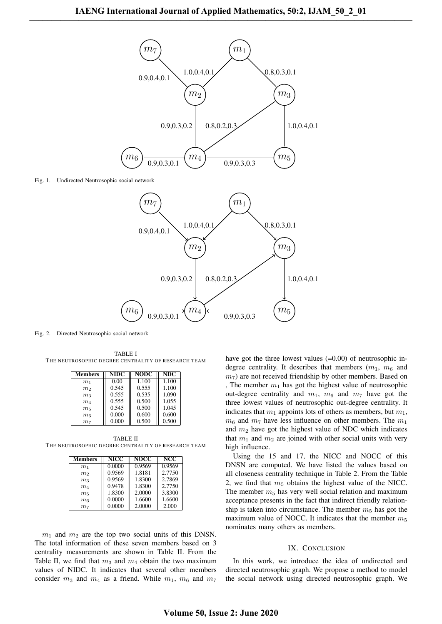

Fig. 1. Undirected Neutrosophic social network



Fig. 2. Directed Neutrosophic social network

TABLE I THE NEUTROSOPHIC DEGREE CENTRALITY OF RESEARCH TEAM

| Members        | <b>NIDC</b> | <b>NODC</b> | NDC   |
|----------------|-------------|-------------|-------|
| m <sub>1</sub> | 0.00        | 1.100       | 1.100 |
| m <sub>2</sub> | 0.545       | 0.555       | 1.100 |
| m <sub>3</sub> | 0.555       | 0.535       | 1.090 |
| m <sub>4</sub> | 0.555       | 0.500       | 1.055 |
| m <sub>5</sub> | 0.545       | 0.500       | 1.045 |
| m <sub>6</sub> | 0.000       | 0.600       | 0.600 |
| m <sub>7</sub> | 0.000       | 0.500       | 0.500 |

TABLE II THE NEUTROSOPHIC DEGREE CENTRALITY OF RESEARCH TEAM

| <b>Members</b> | <b>NICC</b> | <b>NOCC</b> | <b>NCC</b> |
|----------------|-------------|-------------|------------|
| m <sub>1</sub> | 0.0000      | 0.9569      | 0.9569     |
| m <sub>2</sub> | 0.9569      | 1.8181      | 2.7750     |
| m <sub>3</sub> | 0.9569      | 1.8300      | 2.7869     |
| m <sub>4</sub> | 0.9478      | 1.8300      | 2.7750     |
| m <sub>5</sub> | 1.8300      | 2.0000      | 3.8300     |
| m <sub>6</sub> | 0.0000      | 1.6600      | 1.6600     |
| m <sub>7</sub> | 0.0000      | 2.0000      | 2.000      |

 $m_1$  and  $m_2$  are the top two social units of this DNSN. The total information of these seven members based on 3 centrality measurements are shown in Table II. From the Table II, we find that  $m_3$  and  $m_4$  obtain the two maximum values of NIDC. It indicates that several other members consider  $m_3$  and  $m_4$  as a friend. While  $m_1$ ,  $m_6$  and  $m_7$ 

have got the three lowest values (=0.00) of neutrosophic indegree centrality. It describes that members  $(m_1, m_6)$  and  $m<sub>7</sub>$ ) are not received friendship by other members. Based on , The member  $m_1$  has got the highest value of neutrosophic out-degree centrality and  $m_1$ ,  $m_6$  and  $m_7$  have got the three lowest values of neutrosophic out-degree centrality. It indicates that  $m_1$  appoints lots of others as members, but  $m_1$ ,  $m_6$  and  $m_7$  have less influence on other members. The  $m_1$ and  $m_2$  have got the highest value of NDC which indicates that  $m_1$  and  $m_2$  are joined with other social units with very high influence.

Using the 15 and 17, the NICC and NOCC of this DNSN are computed. We have listed the values based on all closeness centrality technique in Table 2. From the Table 2, we find that  $m<sub>5</sub>$  obtains the highest value of the NICC. The member  $m<sub>5</sub>$  has very well social relation and maximum acceptance presents in the fact that indirect friendly relationship is taken into circumstance. The member  $m<sub>5</sub>$  has got the maximum value of NOCC. It indicates that the member  $m<sub>5</sub>$ nominates many others as members.

#### IX. CONCLUSION

In this work, we introduce the idea of undirected and directed neutrosophic graph. We propose a method to model the social network using directed neutrosophic graph. We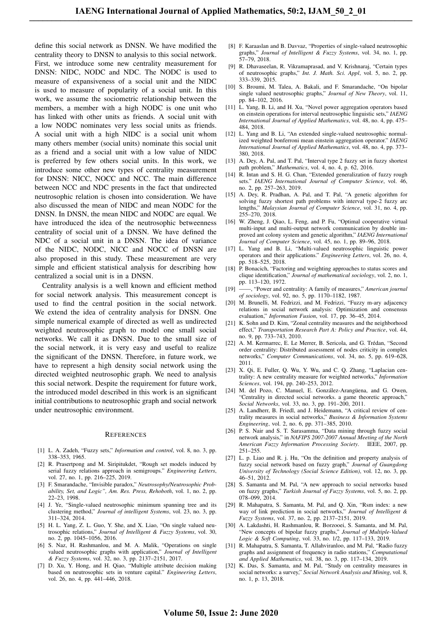define this social network as DNSN. We have modified the centrality theory to DNSN to analysis to this social network. First, we introduce some new centrality measurement for DNSN: NIDC, NODC and NDC. The NODC is used to measure of expansiveness of a social unit and the NIDC is used to measure of popularity of a social unit. In this work, we assume the sociometric relationship between the members, a member with a high NODC is one unit who has linked with other units as friends. A social unit with a low NODC nominates very less social units as friends. A social unit with a high NIDC is a social unit whom many others member (social units) nominate this social unit as a friend and a social unit with a low value of NIDC is preferred by few others social units. In this work, we introduce some other new types of centrality measurement for DNSN: NICC, NOCC and NCC. The main difference between NCC and NDC presents in the fact that undirected neutrosophic relation is chosen into consideration. We have also discussed the mean of NIDC and mean NODC for the DNSN. In DNSN, the mean NIDC and NODC are equal. We have introduced the idea of the neutrosophic betweenness centrality of social unit of a DNSN. We have defined the NDC of a social unit in a DNSN. The idea of variance of the NIDC, NODC, NICC and NOCC of DNSN are also proposed in this study. These measurement are very simple and efficient statistical analysis for describing how centralized a social unit is in a DNSN.

Centrality analysis is a well known and efficient method for social network analysis. This measurement concept is used to find the central position in the social network. We extend the idea of centrality analysis for DNSN. One simple numerical example of directed as well as undirected weighted neutrosophic graph to model one small social networks. We call it as DNSN. Due to the small size of the social network, it is very easy and useful to realize the significant of the DNSN. Therefore, in future work, we have to represent a high density social network using the directed weighted neutrosophic graph. We need to analysis this social network. Despite the requirement for future work, the introduced model described in this work is an significant initial contributions to neutrosophic graph and social network under neutrosophic environment.

#### **REFERENCES**

- [1] L. A. Zadeh, "Fuzzy sets," *Information and control*, vol. 8, no. 3, pp. 338–353, 1965.
- [2] R. Prasertpong and M. Siripitukdet, "Rough set models induced by serial fuzzy relations approach in semigroups." *Engineering Letters*, vol. 27, no. 1, pp. 216-225, 2019.
- [3] F. Smarandache, "Invisible paradox," *Neutrosophy/Neutrosophic Probability, Set, and Logic", Am. Res. Press, Rehoboth*, vol. 1, no. 2, pp. 22–23, 1998.
- [4] J. Ye, "Single-valued neutrosophic minimum spanning tree and its clustering method," *Journal of intelligent Systems*, vol. 23, no. 3, pp. 311–324, 2014.
- [5] H. L. Yang, Z. L. Guo, Y. She, and X. Liao, "On single valued neutrosophic relations," *Journal of Intelligent & Fuzzy Systems*, vol. 30, no. 2, pp. 1045–1056, 2016.
- [6] S. Naz, H. Rashmanlou, and M. A. Malik, "Operations on single valued neutrosophic graphs with application," *Journal of Intelligent & Fuzzy Systems*, vol. 32, no. 3, pp. 2137–2151, 2017.
- [7] D. Xu, Y. Hong, and H. Qiao, "Multiple attribute decision making based on neutrosophic sets in venture capital." *Engineering Letters*, vol. 26, no. 4, pp. 441–446, 2018.
- [8] F. Karaaslan and B. Davvaz, "Properties of single-valued neutrosophic graphs," *Journal of Intelligent & Fuzzy Systems*, vol. 34, no. 1, pp. 57–79, 2018.
- [9] R. Dhavaseelan, R. Vikramaprasad, and V. Krishnaraj, "Certain types of neutrosophic graphs," *Int. J. Math. Sci. Appl*, vol. 5, no. 2, pp. 333–339, 2015.
- [10] S. Broumi, M. Talea, A. Bakali, and F. Smarandache, "On bipolar single valued neutrosophic graphs," *Journal of New Theory*, vol. 11, pp. 84–102, 2016.
- [11] L. Yang, B. Li, and H. Xu, "Novel power aggregation operators based on einstein operations for interval neutrosophic linguistic sets," *IAENG International Journal of Applied Mathematics*, vol. 48, no. 4, pp. 475– 484, 2018.
- [12] L. Yang and B. Li, "An extended single-valued neutrosophic normalized weighted bonferroni mean einstein aggregation operator." *IAENG International Journal of Applied Mathematics*, vol. 48, no. 4, pp. 373– 380, 2018.
- [13] A. Dey, A. Pal, and T. Pal, "Interval type 2 fuzzy set in fuzzy shortest path problem," *Mathematics*, vol. 4, no. 4, p. 62, 2016.
- [14] R. Intan and S. H. G. Chan, "Extended generalization of fuzzy rough sets." *IAENG International Journal of Computer Science*, vol. 46, no. 2, pp. 257–263, 2019.
- [15] A. Dey, R. Pradhan, A. Pal, and T. Pal, "A genetic algorithm for solving fuzzy shortest path problems with interval type-2 fuzzy arc lengths," *Malaysian Journal of Computer Science*, vol. 31, no. 4, pp. 255–270, 2018.
- [16] W. Zheng, J. Qiao, L. Feng, and P. Fu, "Optimal cooperative virtual multi-input and multi-output network communication by double improved ant colony system and genetic algorithm," *IAENG International Journal of Computer Science*, vol. 45, no. 1, pp. 89–96, 2018.
- [17] L. Yang and B. Li, "Multi-valued neutrosophic linguistic power operators and their applications." *Engineering Letters*, vol. 26, no. 4, pp. 518–525, 2018.
- [18] P. Bonacich, "Factoring and weighting approaches to status scores and clique identification," *Journal of mathematical sociology*, vol. 2, no. 1, pp. 113–120, 1972.
- [19] ——, "Power and centrality: A family of measures," *American journal of sociology*, vol. 92, no. 5, pp. 1170–1182, 1987.
- [20] M. Brunelli, M. Fedrizzi, and M. Fedrizzi, "Fuzzy m-ary adjacency relations in social network analysis: Optimization and consensus evaluation," *Information Fusion*, vol. 17, pp. 36–45, 2014.
- [21] K. Sohn and D. Kim, "Zonal centrality measures and the neighborhood effect," *Transportation Research Part A: Policy and Practice*, vol. 44, no. 9, pp. 733–743, 2010.
- [22] A. M. Kermarrec, E. Le Merrer, B. Sericola, and G. Trédan, "Second order centrality: Distributed assessment of nodes criticity in complex networks," *Computer Communications*, vol. 34, no. 5, pp. 619–628, 2011.
- [23] X. Qi, E. Fuller, Q. Wu, Y. Wu, and C. Q. Zhang, "Laplacian centrality: A new centrality measure for weighted networks," *Information Sciences*, vol. 194, pp. 240–253, 2012.
- [24] M. del Pozo, C. Manuel, E. González-Arangüena, and G. Owen, "Centrality in directed social networks. a game theoretic approach," *Social Networks*, vol. 33, no. 3, pp. 191–200, 2011.
- [25] A. Landherr, B. Friedl, and J. Heidemann, "A critical review of centrality measures in social networks," *Business & Information Systems Engineering*, vol. 2, no. 6, pp. 371–385, 2010.
- [26] P. S. Nair and S. T. Sarasamma, "Data mining through fuzzy social network analysis," in *NAFIPS 2007-2007 Annual Meeting of the North American Fuzzy Information Processing Society*. IEEE, 2007, pp. 251–255.
- [27] L. p. Liao and R. j. Hu, "On the definition and property analysis of fuzzy social network based on fuzzy graph," *Journal of Guangdong University of Technology (Social Science Edition)*, vol. 12, no. 3, pp. 46–51, 2012.
- [28] S. Samanta and M. Pal, "A new approach to social networks based on fuzzy graphs," *Turkish Journal of Fuzzy Systems*, vol. 5, no. 2, pp. 078–099, 2014.
- [29] R. Mahapatra, S. Samanta, M. Pal, and Q. Xin, "Rsm index: a new way of link prediction in social networks," *Journal of Intelligent & Fuzzy Systems*, vol. 37, no. 2, pp. 2137–2151, 2019.
- [30] A. Lakdashti, H. Rashmanlou, R. Borzooei, S. Samanta, and M. Pal, "New concepts of bipolar fuzzy graphs," *Journal of Multiple-Valued Logic & Soft Computing*, vol. 33, no. 1/2, pp. 117–133, 2019.
- [31] R. Mahapatra, S. Samanta, T. Allahviranloo, and M. Pal, "Radio fuzzy graphs and assignment of frequency in radio stations," *Computational and Applied Mathematics*, vol. 38, no. 3, pp. 117–134, 2019.
- [32] K. Das, S. Samanta, and M. Pal, "Study on centrality measures in social networks: a survey," *Social Network Analysis and Mining*, vol. 8, no. 1, p. 13, 2018.